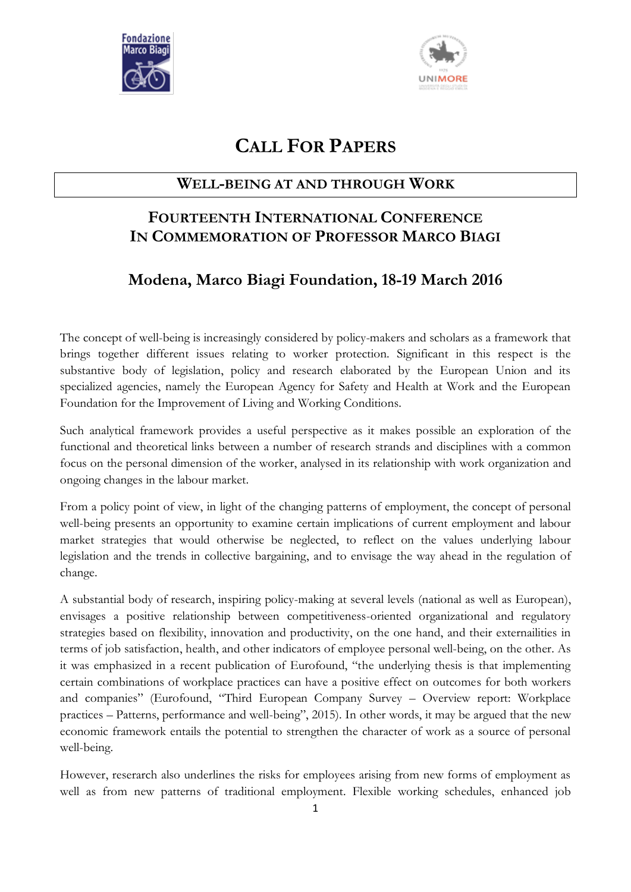



# **CALL FOR PAPERS**

# **WELL-BEING AT AND THROUGH WORK**

# **FOURTEENTH INTERNATIONAL CONFERENCE IN COMMEMORATION OF PROFESSOR MARCO BIAGI**

# **Modena, Marco Biagi Foundation, 18-19 March 2016**

The concept of well-being is increasingly considered by policy-makers and scholars as a framework that brings together different issues relating to worker protection. Significant in this respect is the substantive body of legislation, policy and research elaborated by the European Union and its specialized agencies, namely the European Agency for Safety and Health at Work and the European Foundation for the Improvement of Living and Working Conditions.

Such analytical framework provides a useful perspective as it makes possible an exploration of the functional and theoretical links between a number of research strands and disciplines with a common focus on the personal dimension of the worker, analysed in its relationship with work organization and ongoing changes in the labour market.

From a policy point of view, in light of the changing patterns of employment, the concept of personal well-being presents an opportunity to examine certain implications of current employment and labour market strategies that would otherwise be neglected, to reflect on the values underlying labour legislation and the trends in collective bargaining, and to envisage the way ahead in the regulation of change.

A substantial body of research, inspiring policy-making at several levels (national as well as European), envisages a positive relationship between competitiveness-oriented organizational and regulatory strategies based on flexibility, innovation and productivity, on the one hand, and their externailities in terms of job satisfaction, health, and other indicators of employee personal well-being, on the other. As it was emphasized in a recent publication of Eurofound, "the underlying thesis is that implementing certain combinations of workplace practices can have a positive effect on outcomes for both workers and companies" (Eurofound, "Third European Company Survey – Overview report: Workplace practices – Patterns, performance and well-being", 2015). In other words, it may be argued that the new economic framework entails the potential to strengthen the character of work as a source of personal well-being.

However, reserarch also underlines the risks for employees arising from new forms of employment as well as from new patterns of traditional employment. Flexible working schedules, enhanced job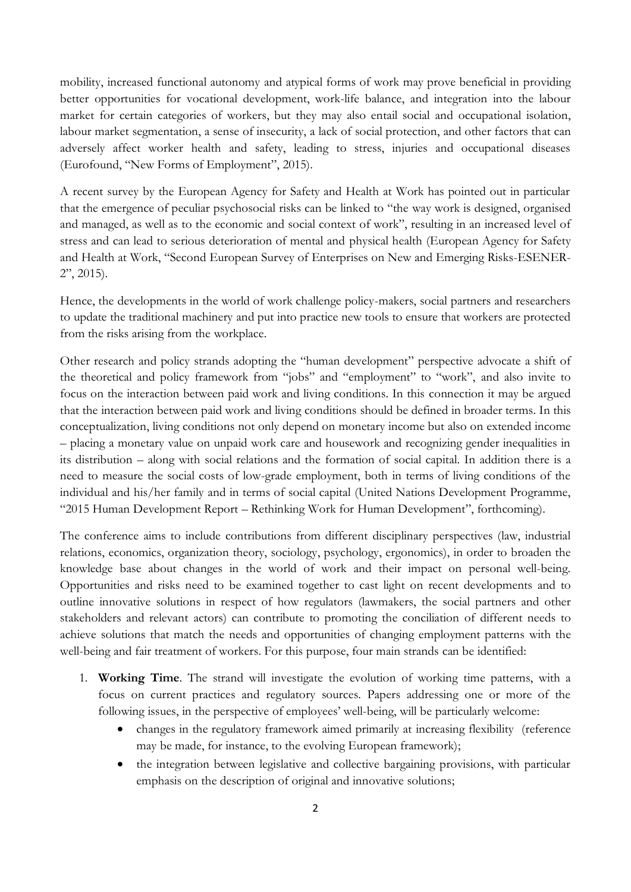mobility, increased functional autonomy and atypical forms of work may prove beneficial in providing better opportunities for vocational development, work-life balance, and integration into the labour market for certain categories of workers, but they may also entail social and occupational isolation, labour market segmentation, a sense of insecurity, a lack of social protection, and other factors that can adversely affect worker health and safety, leading to stress, injuries and occupational diseases (Eurofound, "New Forms of Employment", 2015).

A recent survey by the European Agency for Safety and Health at Work has pointed out in particular that the emergence of peculiar psychosocial risks can be linked to "the way work is designed, organised and managed, as well as to the economic and social context of work", resulting in an increased level of stress and can lead to serious deterioration of mental and physical health (European Agency for Safety and Health at Work, "Second European Survey of Enterprises on New and Emerging Risks-ESENER-2", 2015).

Hence, the developments in the world of work challenge policy-makers, social partners and researchers to update the traditional machinery and put into practice new tools to ensure that workers are protected from the risks arising from the workplace.

Other research and policy strands adopting the "human development" perspective advocate a shift of the theoretical and policy framework from "jobs" and "employment" to "work", and also invite to focus on the interaction between paid work and living conditions. In this connection it may be argued that the interaction between paid work and living conditions should be defined in broader terms. In this conceptualization, living conditions not only depend on monetary income but also on extended income – placing a monetary value on unpaid work care and housework and recognizing gender inequalities in its distribution – along with social relations and the formation of social capital. In addition there is a need to measure the social costs of low-grade employment, both in terms of living conditions of the individual and his/her family and in terms of social capital (United Nations Development Programme, "2015 Human Development Report – Rethinking Work for Human Development", forthcoming).

The conference aims to include contributions from different disciplinary perspectives (law, industrial relations, economics, organization theory, sociology, psychology, ergonomics), in order to broaden the knowledge base about changes in the world of work and their impact on personal well-being. Opportunities and risks need to be examined together to cast light on recent developments and to outline innovative solutions in respect of how regulators (lawmakers, the social partners and other stakeholders and relevant actors) can contribute to promoting the conciliation of different needs to achieve solutions that match the needs and opportunities of changing employment patterns with the well-being and fair treatment of workers. For this purpose, four main strands can be identified:

- 1. **Working Time**. The strand will investigate the evolution of working time patterns, with a focus on current practices and regulatory sources. Papers addressing one or more of the following issues, in the perspective of employees' well-being, will be particularly welcome:
	- changes in the regulatory framework aimed primarily at increasing flexibility (reference may be made, for instance, to the evolving European framework);
	- the integration between legislative and collective bargaining provisions, with particular emphasis on the description of original and innovative solutions;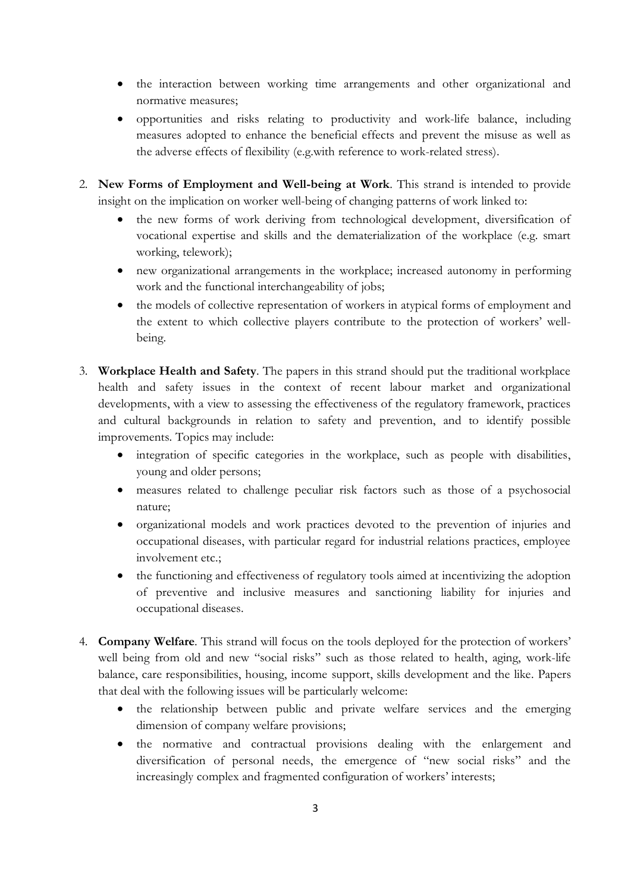- the interaction between working time arrangements and other organizational and normative measures;
- opportunities and risks relating to productivity and work-life balance, including measures adopted to enhance the beneficial effects and prevent the misuse as well as the adverse effects of flexibility (e.g.with reference to work-related stress).
- 2. **New Forms of Employment and Well-being at Work**. This strand is intended to provide insight on the implication on worker well-being of changing patterns of work linked to:
	- the new forms of work deriving from technological development, diversification of vocational expertise and skills and the dematerialization of the workplace (e.g. smart working, telework);
	- new organizational arrangements in the workplace; increased autonomy in performing work and the functional interchangeability of jobs;
	- the models of collective representation of workers in atypical forms of employment and the extent to which collective players contribute to the protection of workers' wellbeing.
- 3. **Workplace Health and Safety**. The papers in this strand should put the traditional workplace health and safety issues in the context of recent labour market and organizational developments, with a view to assessing the effectiveness of the regulatory framework, practices and cultural backgrounds in relation to safety and prevention, and to identify possible improvements. Topics may include:
	- integration of specific categories in the workplace, such as people with disabilities, young and older persons;
	- measures related to challenge peculiar risk factors such as those of a psychosocial nature;
	- organizational models and work practices devoted to the prevention of injuries and occupational diseases, with particular regard for industrial relations practices, employee involvement etc.;
	- the functioning and effectiveness of regulatory tools aimed at incentivizing the adoption of preventive and inclusive measures and sanctioning liability for injuries and occupational diseases.
- 4. **Company Welfare**. This strand will focus on the tools deployed for the protection of workers' well being from old and new "social risks" such as those related to health, aging, work-life balance, care responsibilities, housing, income support, skills development and the like. Papers that deal with the following issues will be particularly welcome:
	- the relationship between public and private welfare services and the emerging dimension of company welfare provisions;
	- the normative and contractual provisions dealing with the enlargement and diversification of personal needs, the emergence of "new social risks" and the increasingly complex and fragmented configuration of workers' interests;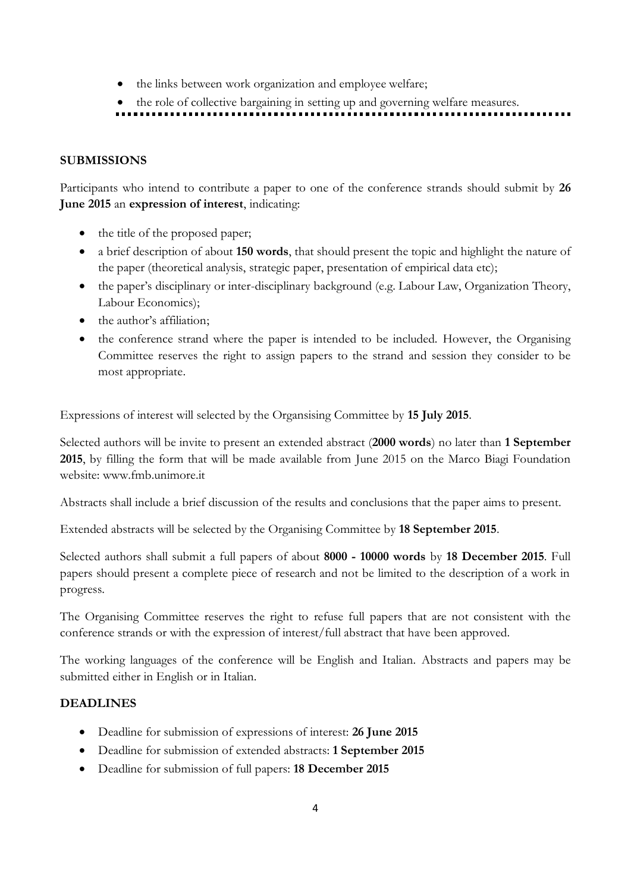- the links between work organization and employee welfare;
- the role of collective bargaining in setting up and governing welfare measures.

## **SUBMISSIONS**

Participants who intend to contribute a paper to one of the conference strands should submit by **26 June 2015** an **expression of interest**, indicating:

- the title of the proposed paper;
- a brief description of about **150 words**, that should present the topic and highlight the nature of the paper (theoretical analysis, strategic paper, presentation of empirical data etc);
- the paper's disciplinary or inter-disciplinary background (e.g. Labour Law, Organization Theory, Labour Economics);
- the author's affiliation;
- the conference strand where the paper is intended to be included. However, the Organising Committee reserves the right to assign papers to the strand and session they consider to be most appropriate.

Expressions of interest will selected by the Organsising Committee by **15 July 2015**.

Selected authors will be invite to present an extended abstract (**2000 words**) no later than **1 September 2015**, by filling the form that will be made available from June 2015 on the Marco Biagi Foundation website: www.fmb.unimore.it

Abstracts shall include a brief discussion of the results and conclusions that the paper aims to present.

Extended abstracts will be selected by the Organising Committee by **18 September 2015**.

Selected authors shall submit a full papers of about **8000 - 10000 words** by **18 December 2015**. Full papers should present a complete piece of research and not be limited to the description of a work in progress.

The Organising Committee reserves the right to refuse full papers that are not consistent with the conference strands or with the expression of interest/full abstract that have been approved.

The working languages of the conference will be English and Italian. Abstracts and papers may be submitted either in English or in Italian.

## **DEADLINES**

- Deadline for submission of expressions of interest: **26 June 2015**
- Deadline for submission of extended abstracts: **1 September 2015**
- Deadline for submission of full papers: **18 December 2015**